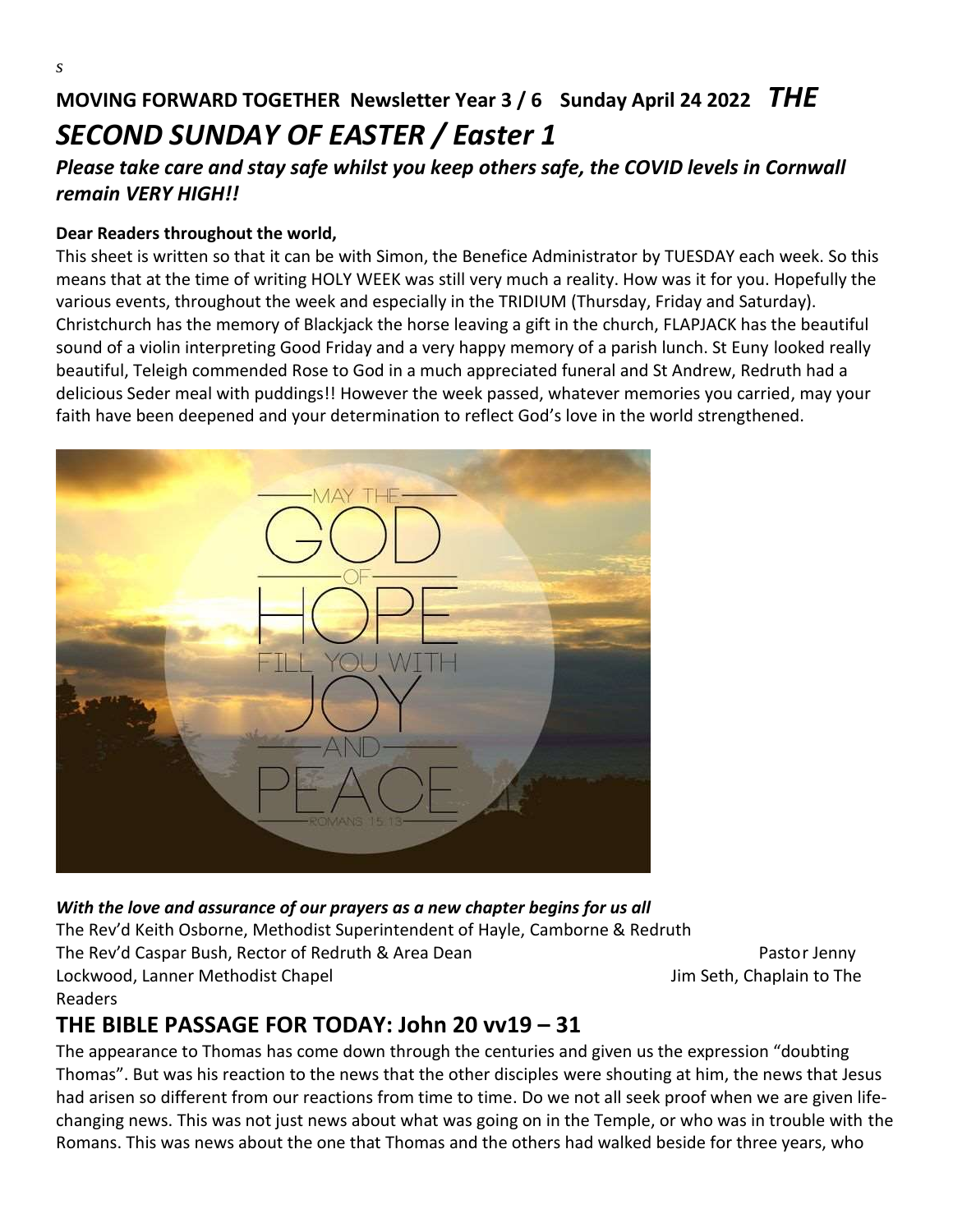### *Please take care and stay safe whilst you keep others safe, the COVID levels in Cornwall remain VERY HIGH!!*

#### **Dear Readers throughout the world,**

*s*

This sheet is written so that it can be with Simon, the Benefice Administrator by TUESDAY each week. So this means that at the time of writing HOLY WEEK was still very much a reality. How was it for you. Hopefully the various events, throughout the week and especially in the TRIDIUM (Thursday, Friday and Saturday). Christchurch has the memory of Blackjack the horse leaving a gift in the church, FLAPJACK has the beautiful sound of a violin interpreting Good Friday and a very happy memory of a parish lunch. St Euny looked really beautiful, Teleigh commended Rose to God in a much appreciated funeral and St Andrew, Redruth had a delicious Seder meal with puddings!! However the week passed, whatever memories you carried, may your faith have been deepened and your determination to reflect God's love in the world strengthened.



### *With the love and assurance of our prayers as a new chapter begins for us all*  The Rev'd Keith Osborne, Methodist Superintendent of Hayle, Camborne & Redruth The Rev'd Caspar Bush, Rector of Redruth & Area Dean Pastor Manuscriptus Restor Jenny Lockwood, Lanner Methodist Chapel Jim Seth, Chaplain to The Readers

## **THE BIBLE PASSAGE FOR TODAY: John 20 vv19 – 31**

The appearance to Thomas has come down through the centuries and given us the expression "doubting Thomas". But was his reaction to the news that the other disciples were shouting at him, the news that Jesus had arisen so different from our reactions from time to time. Do we not all seek proof when we are given lifechanging news. This was not just news about what was going on in the Temple, or who was in trouble with the Romans. This was news about the one that Thomas and the others had walked beside for three years, who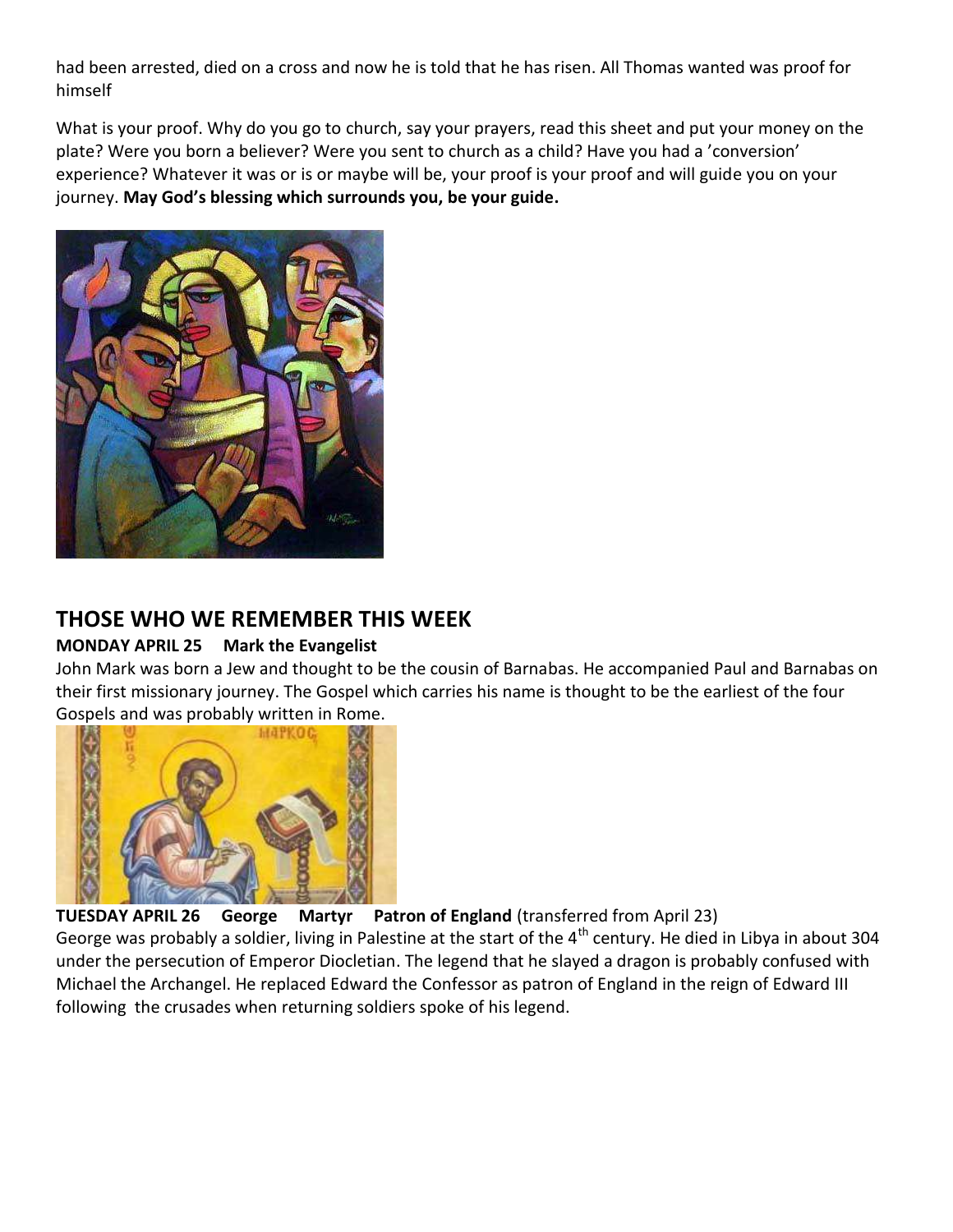had been arrested, died on a cross and now he is told that he has risen. All Thomas wanted was proof for himself

What is your proof. Why do you go to church, say your prayers, read this sheet and put your money on the plate? Were you born a believer? Were you sent to church as a child? Have you had a 'conversion' experience? Whatever it was or is or maybe will be, your proof is your proof and will guide you on your journey. **May God's blessing which surrounds you, be your guide.**



### **THOSE WHO WE REMEMBER THIS WEEK**

#### **MONDAY APRIL 25 Mark the Evangelist**

John Mark was born a Jew and thought to be the cousin of Barnabas. He accompanied Paul and Barnabas on their first missionary journey. The Gospel which carries his name is thought to be the earliest of the four Gospels and was probably written in Rome.



**TUESDAY APRIL 26 George Martyr Patron of England** (transferred from April 23)

George was probably a soldier, living in Palestine at the start of the  $4^{\text{th}}$  century. He died in Libya in about 304 under the persecution of Emperor Diocletian. The legend that he slayed a dragon is probably confused with Michael the Archangel. He replaced Edward the Confessor as patron of England in the reign of Edward III following the crusades when returning soldiers spoke of his legend.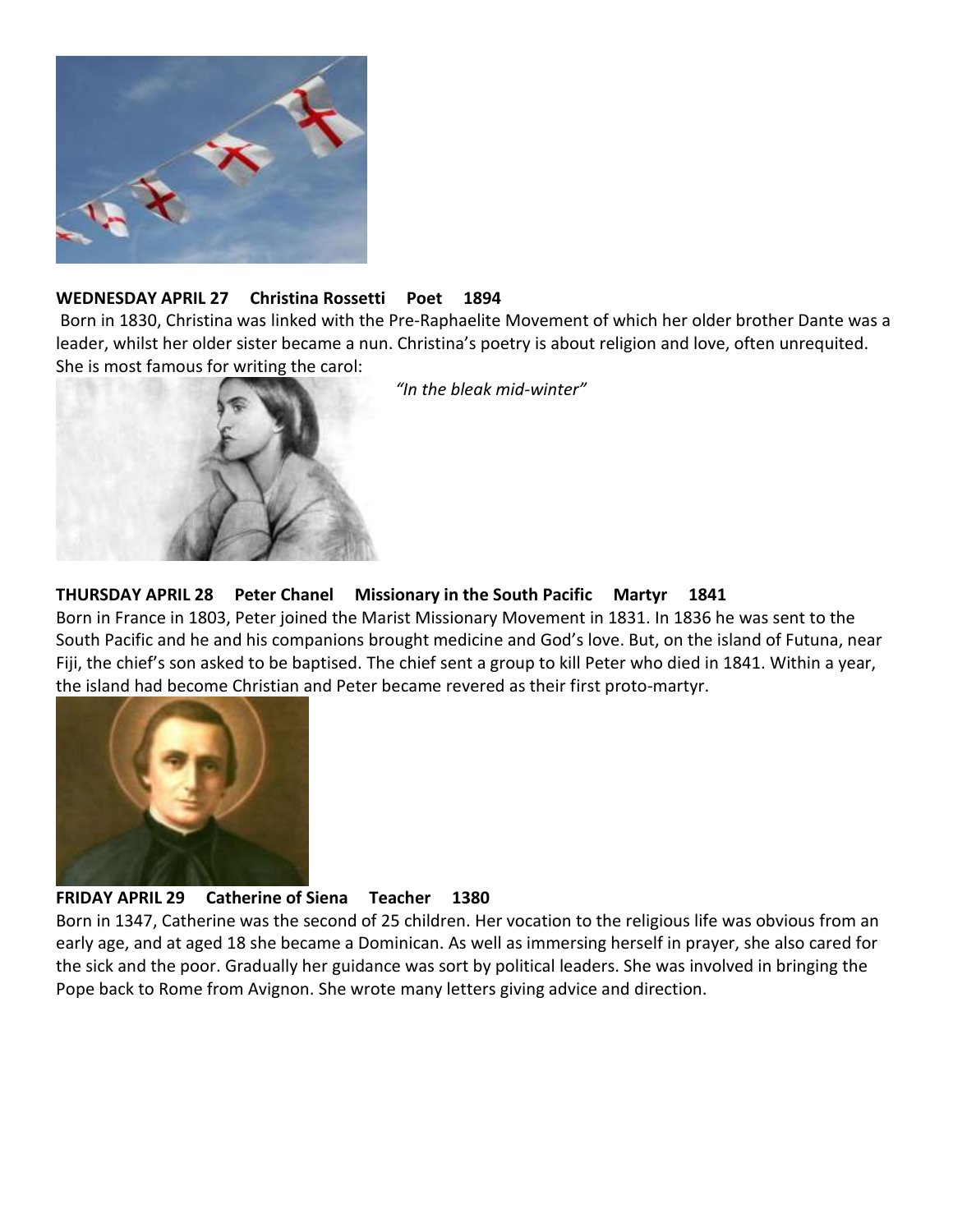

#### **WEDNESDAY APRIL 27 Christina Rossetti Poet 1894**

Born in 1830, Christina was linked with the Pre-Raphaelite Movement of which her older brother Dante was a leader, whilst her older sister became a nun. Christina's poetry is about religion and love, often unrequited. She is most famous for writing the carol:



*"In the bleak mid-winter"*

#### **THURSDAY APRIL 28 Peter Chanel Missionary in the South Pacific Martyr 1841**

Born in France in 1803, Peter joined the Marist Missionary Movement in 1831. In 1836 he was sent to the South Pacific and he and his companions brought medicine and God's love. But, on the island of Futuna, near Fiji, the chief's son asked to be baptised. The chief sent a group to kill Peter who died in 1841. Within a year, the island had become Christian and Peter became revered as their first proto-martyr.



#### **FRIDAY APRIL 29 Catherine of Siena Teacher 1380**

Born in 1347, Catherine was the second of 25 children. Her vocation to the religious life was obvious from an early age, and at aged 18 she became a Dominican. As well as immersing herself in prayer, she also cared for the sick and the poor. Gradually her guidance was sort by political leaders. She was involved in bringing the Pope back to Rome from Avignon. She wrote many letters giving advice and direction.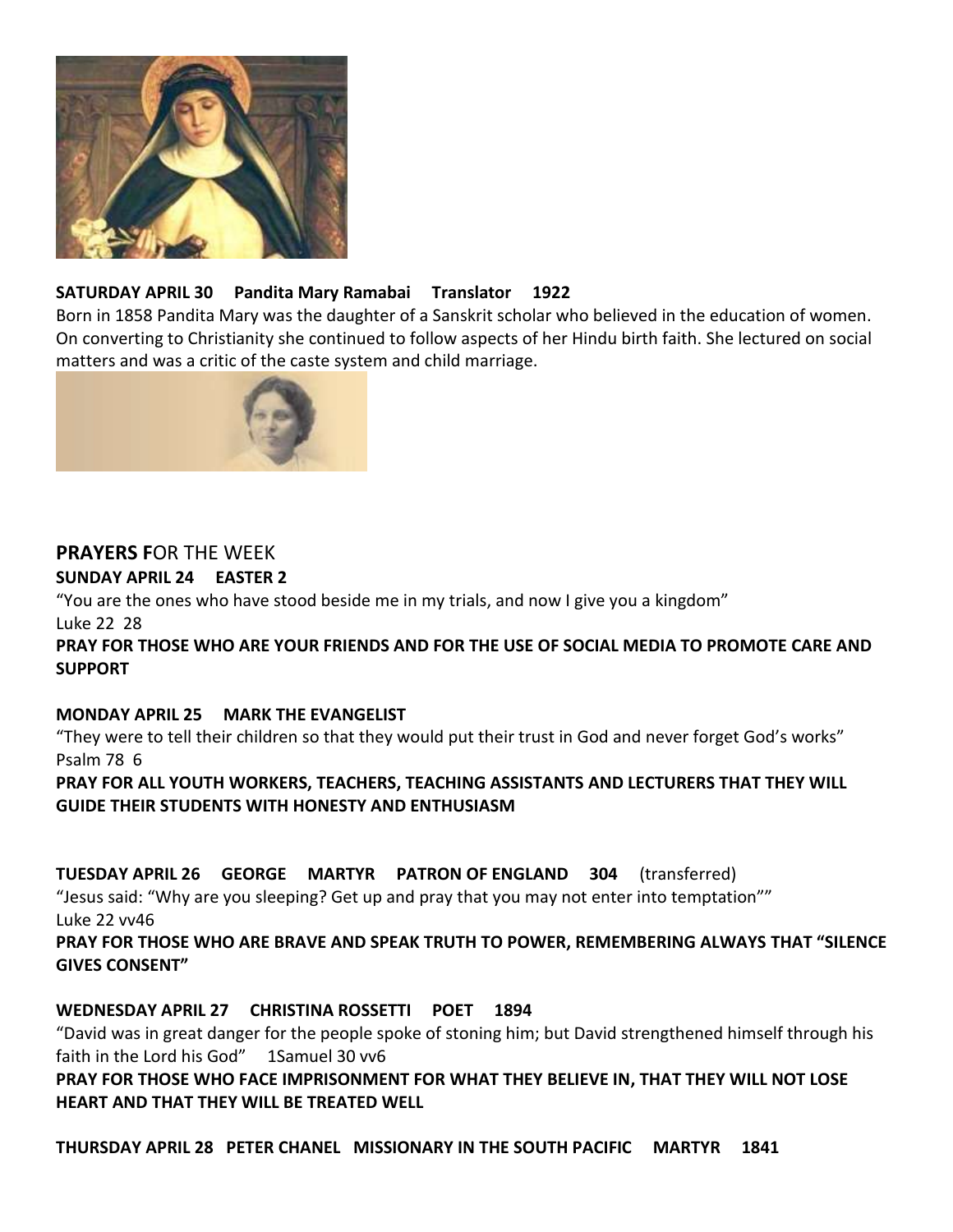

#### **SATURDAY APRIL 30 Pandita Mary Ramabai Translator 1922**

Born in 1858 Pandita Mary was the daughter of a Sanskrit scholar who believed in the education of women. On converting to Christianity she continued to follow aspects of her Hindu birth faith. She lectured on social matters and was a critic of the caste system and child marriage.



#### **PRAYERS F**OR THE WEEK **SUNDAY APRIL 24 EASTER 2**

"You are the ones who have stood beside me in my trials, and now I give you a kingdom"

Luke 22 28

**PRAY FOR THOSE WHO ARE YOUR FRIENDS AND FOR THE USE OF SOCIAL MEDIA TO PROMOTE CARE AND SUPPORT**

#### **MONDAY APRIL 25 MARK THE EVANGELIST**

"They were to tell their children so that they would put their trust in God and never forget God's works" Psalm 78 6

**PRAY FOR ALL YOUTH WORKERS, TEACHERS, TEACHING ASSISTANTS AND LECTURERS THAT THEY WILL GUIDE THEIR STUDENTS WITH HONESTY AND ENTHUSIASM**

**TUESDAY APRIL 26 GEORGE MARTYR PATRON OF ENGLAND 304** (transferred)

"Jesus said: "Why are you sleeping? Get up and pray that you may not enter into temptation"" Luke 22 vv46

**PRAY FOR THOSE WHO ARE BRAVE AND SPEAK TRUTH TO POWER, REMEMBERING ALWAYS THAT "SILENCE GIVES CONSENT"**

#### **WEDNESDAY APRIL 27 CHRISTINA ROSSETTI POET 1894**

"David was in great danger for the people spoke of stoning him; but David strengthened himself through his faith in the Lord his God" 1Samuel 30 vv6

**PRAY FOR THOSE WHO FACE IMPRISONMENT FOR WHAT THEY BELIEVE IN, THAT THEY WILL NOT LOSE HEART AND THAT THEY WILL BE TREATED WELL**

**THURSDAY APRIL 28 PETER CHANEL MISSIONARY IN THE SOUTH PACIFIC MARTYR 1841**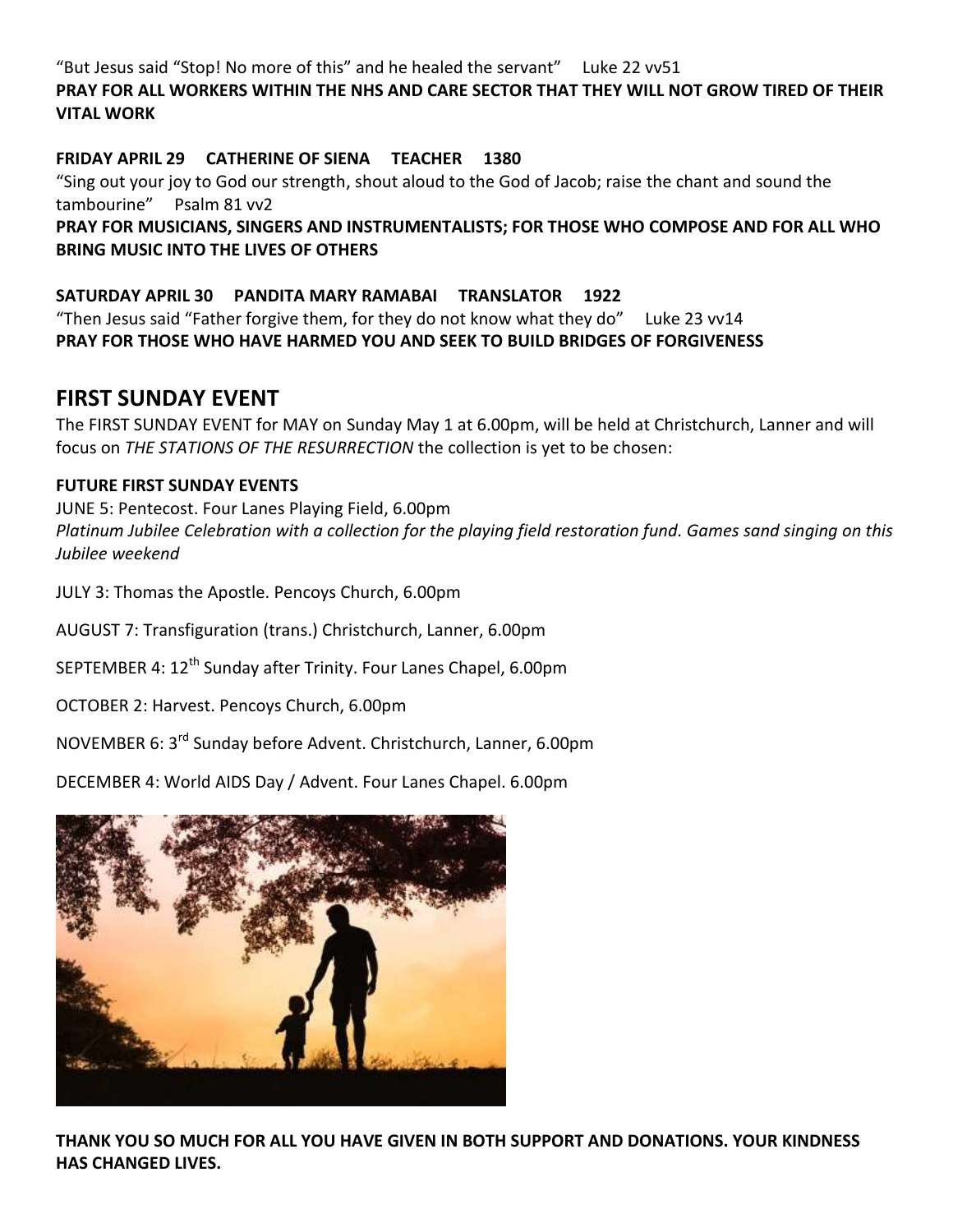"But Jesus said "Stop! No more of this" and he healed the servant" Luke 22 vv51

#### **PRAY FOR ALL WORKERS WITHIN THE NHS AND CARE SECTOR THAT THEY WILL NOT GROW TIRED OF THEIR VITAL WORK**

#### **FRIDAY APRIL 29 CATHERINE OF SIENA TEACHER 1380**

"Sing out your joy to God our strength, shout aloud to the God of Jacob; raise the chant and sound the tambourine" Psalm 81 vv2

**PRAY FOR MUSICIANS, SINGERS AND INSTRUMENTALISTS; FOR THOSE WHO COMPOSE AND FOR ALL WHO BRING MUSIC INTO THE LIVES OF OTHERS**

#### **SATURDAY APRIL 30 PANDITA MARY RAMABAI TRANSLATOR 1922**

"Then Jesus said "Father forgive them, for they do not know what they do" Luke 23 vv14 **PRAY FOR THOSE WHO HAVE HARMED YOU AND SEEK TO BUILD BRIDGES OF FORGIVENESS**

### **FIRST SUNDAY EVENT**

The FIRST SUNDAY EVENT for MAY on Sunday May 1 at 6.00pm, will be held at Christchurch, Lanner and will focus on *THE STATIONS OF THE RESURRECTION* the collection is yet to be chosen:

#### **FUTURE FIRST SUNDAY EVENTS**

JUNE 5: Pentecost. Four Lanes Playing Field, 6.00pm *Platinum Jubilee Celebration with a collection for the playing field restoration fund. Games sand singing on this Jubilee weekend*

JULY 3: Thomas the Apostle. Pencoys Church, 6.00pm

AUGUST 7: Transfiguration (trans.) Christchurch, Lanner, 6.00pm

SEPTEMBER 4: 12<sup>th</sup> Sunday after Trinity. Four Lanes Chapel, 6.00pm

OCTOBER 2: Harvest. Pencoys Church, 6.00pm

NOVEMBER 6: 3rd Sunday before Advent. Christchurch, Lanner, 6.00pm

DECEMBER 4: World AIDS Day / Advent. Four Lanes Chapel. 6.00pm



**THANK YOU SO MUCH FOR ALL YOU HAVE GIVEN IN BOTH SUPPORT AND DONATIONS. YOUR KINDNESS HAS CHANGED LIVES.**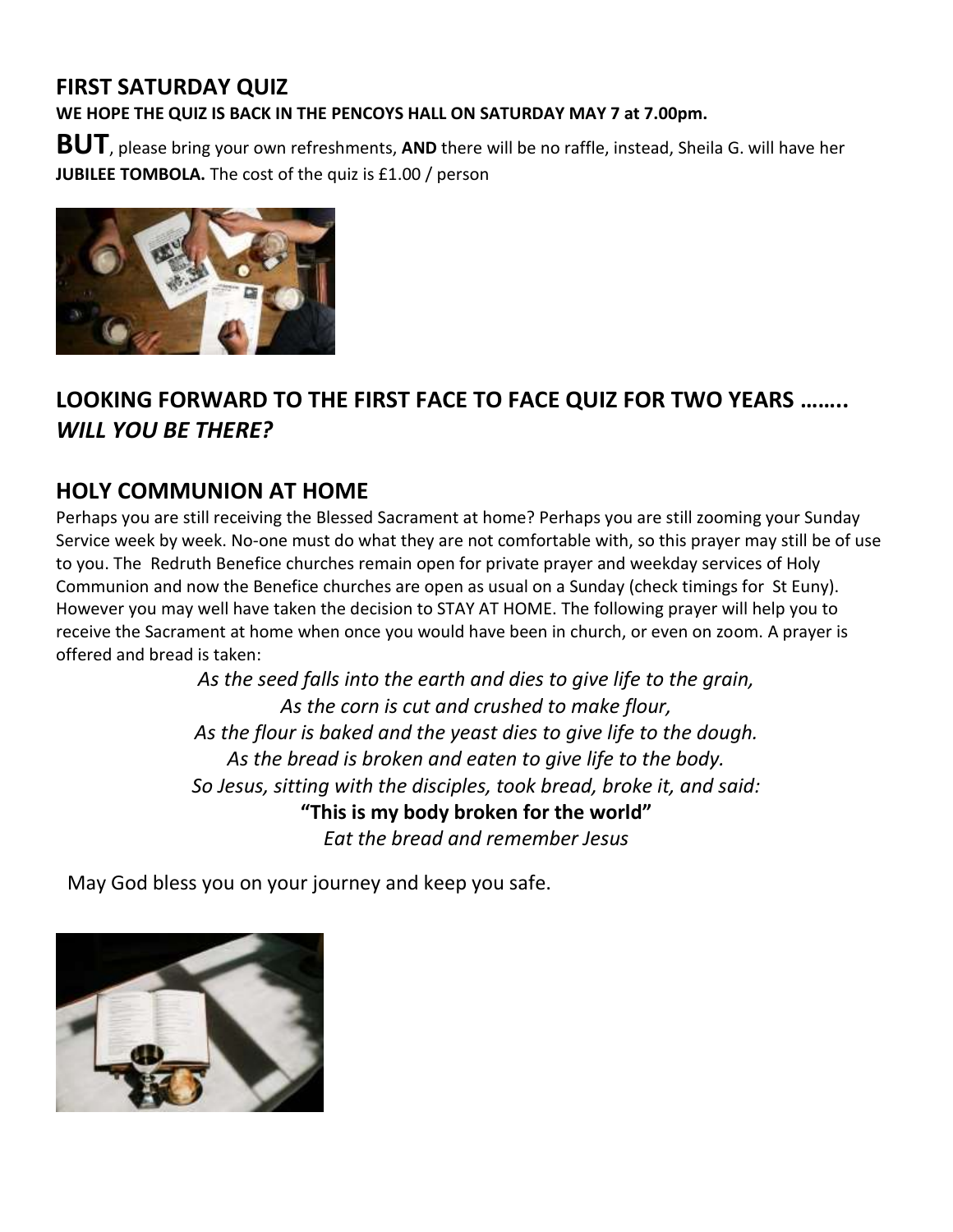## **FIRST SATURDAY QUIZ**

**WE HOPE THE QUIZ IS BACK IN THE PENCOYS HALL ON SATURDAY MAY 7 at 7.00pm.**

**BUT**, please bring your own refreshments, **AND** there will be no raffle, instead, Sheila G. will have her **JUBILEE TOMBOLA.** The cost of the quiz is £1.00 / person



## **LOOKING FORWARD TO THE FIRST FACE TO FACE QUIZ FOR TWO YEARS ……..**  *WILL YOU BE THERE?*

### **HOLY COMMUNION AT HOME**

Perhaps you are still receiving the Blessed Sacrament at home? Perhaps you are still zooming your Sunday Service week by week. No-one must do what they are not comfortable with, so this prayer may still be of use to you. The Redruth Benefice churches remain open for private prayer and weekday services of Holy Communion and now the Benefice churches are open as usual on a Sunday (check timings for St Euny). However you may well have taken the decision to STAY AT HOME. The following prayer will help you to receive the Sacrament at home when once you would have been in church, or even on zoom. A prayer is offered and bread is taken:

> *As the seed falls into the earth and dies to give life to the grain, As the corn is cut and crushed to make flour, As the flour is baked and the yeast dies to give life to the dough. As the bread is broken and eaten to give life to the body. So Jesus, sitting with the disciples, took bread, broke it, and said:* **"This is my body broken for the world"** *Eat the bread and remember Jesus*

May God bless you on your journey and keep you safe.

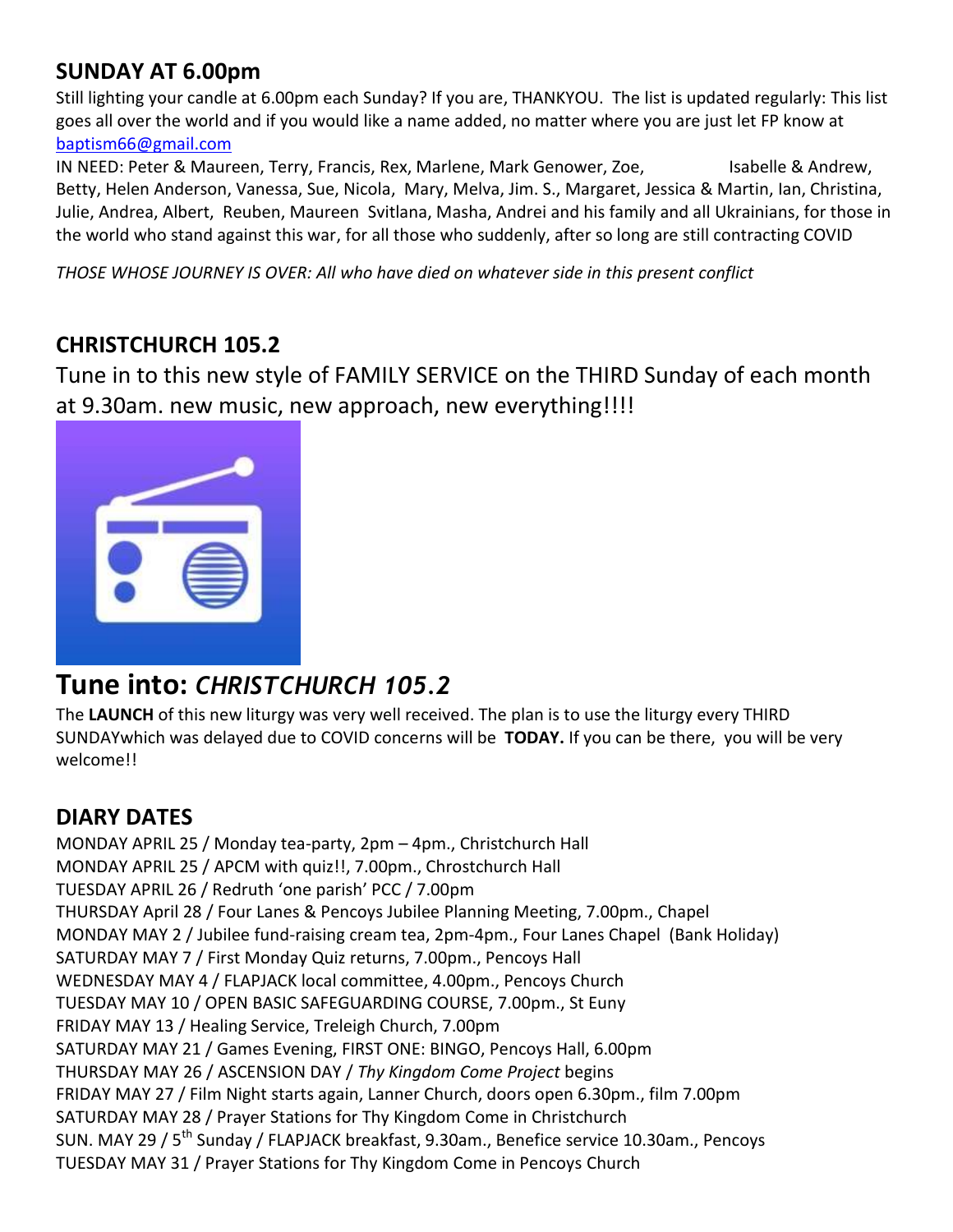## **SUNDAY AT 6.00pm**

Still lighting your candle at 6.00pm each Sunday? If you are, THANKYOU. The list is updated regularly: This list goes all over the world and if you would like a name added, no matter where you are just let FP know at [baptism66@gmail.com](mailto:baptism66@gmail.com)

IN NEED: Peter & Maureen, Terry, Francis, Rex, Marlene, Mark Genower, Zoe, Sabelle & Andrew, Betty, Helen Anderson, Vanessa, Sue, Nicola, Mary, Melva, Jim. S., Margaret, Jessica & Martin, Ian, Christina, Julie, Andrea, Albert, Reuben, Maureen Svitlana, Masha, Andrei and his family and all Ukrainians, for those in the world who stand against this war, for all those who suddenly, after so long are still contracting COVID

*THOSE WHOSE JOURNEY IS OVER: All who have died on whatever side in this present conflict*

### **CHRISTCHURCH 105.2**

Tune in to this new style of FAMILY SERVICE on the THIRD Sunday of each month at 9.30am. new music, new approach, new everything!!!!



# **Tune into:** *CHRISTCHURCH 105.2*

The **LAUNCH** of this new liturgy was very well received. The plan is to use the liturgy every THIRD SUNDAYwhich was delayed due to COVID concerns will be **TODAY.** If you can be there, you will be very welcome!!

### **DIARY DATES**

MONDAY APRIL 25 / Monday tea-party, 2pm – 4pm., Christchurch Hall MONDAY APRIL 25 / APCM with quiz!!, 7.00pm., Chrostchurch Hall TUESDAY APRIL 26 / Redruth 'one parish' PCC / 7.00pm THURSDAY April 28 / Four Lanes & Pencoys Jubilee Planning Meeting, 7.00pm., Chapel MONDAY MAY 2 / Jubilee fund-raising cream tea, 2pm-4pm., Four Lanes Chapel (Bank Holiday) SATURDAY MAY 7 / First Monday Quiz returns, 7.00pm., Pencoys Hall WEDNESDAY MAY 4 / FLAPJACK local committee, 4.00pm., Pencoys Church TUESDAY MAY 10 / OPEN BASIC SAFEGUARDING COURSE, 7.00pm., St Euny FRIDAY MAY 13 / Healing Service, Treleigh Church, 7.00pm SATURDAY MAY 21 / Games Evening, FIRST ONE: BINGO, Pencoys Hall, 6.00pm THURSDAY MAY 26 / ASCENSION DAY / *Thy Kingdom Come Project* begins FRIDAY MAY 27 / Film Night starts again, Lanner Church, doors open 6.30pm., film 7.00pm SATURDAY MAY 28 / Prayer Stations for Thy Kingdom Come in Christchurch SUN. MAY 29 / 5<sup>th</sup> Sunday / FLAPJACK breakfast, 9.30am., Benefice service 10.30am., Pencoys TUESDAY MAY 31 / Prayer Stations for Thy Kingdom Come in Pencoys Church